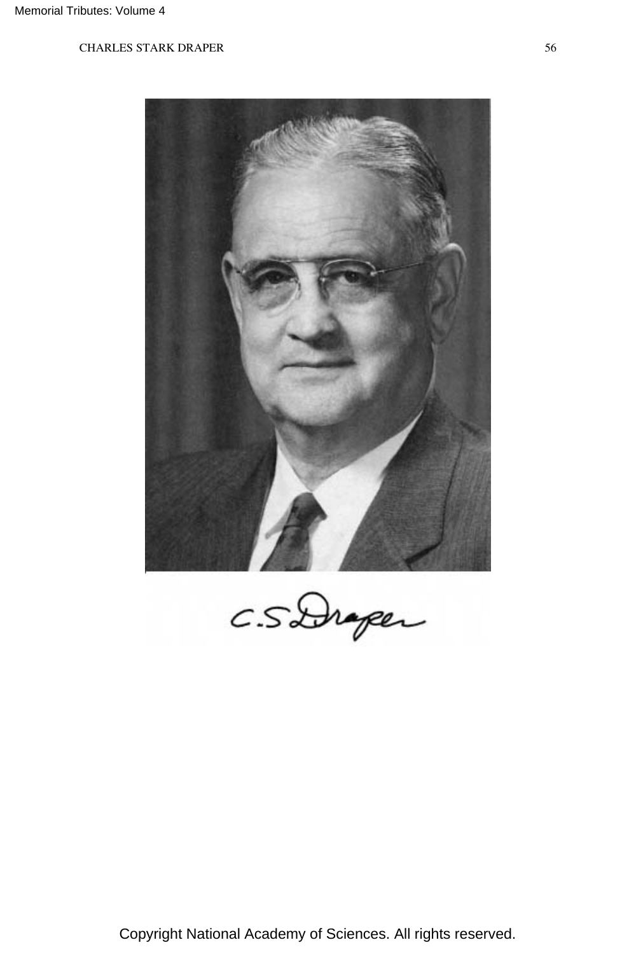

C.S. Dragen

Copyright National Academy of Sciences. All rights reserved.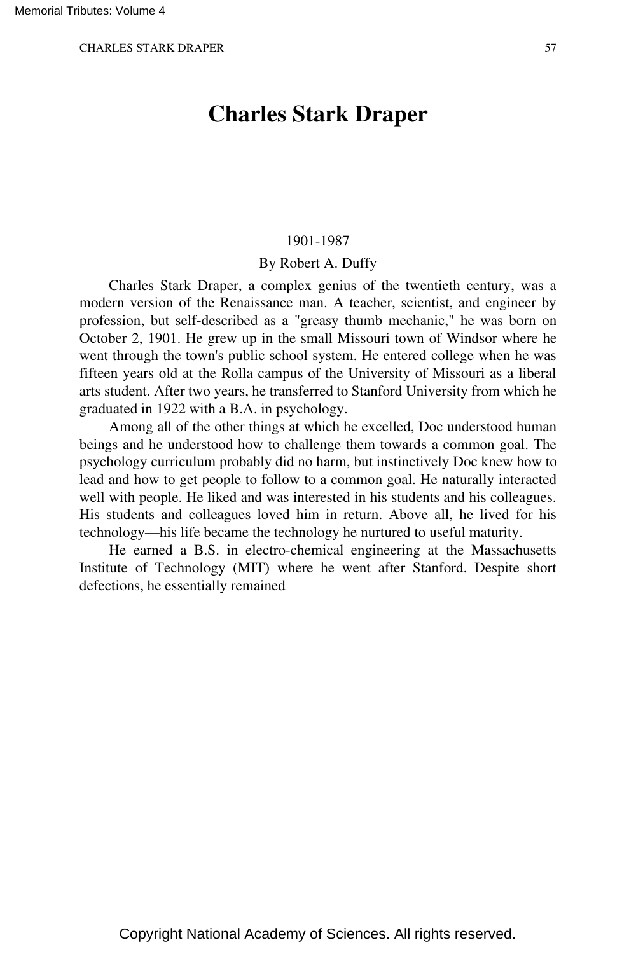# **Charles Stark Draper**

#### 1901-1987

### By Robert A. Duffy

Charles Stark Draper, a complex genius of the twentieth century, was a modern version of the Renaissance man. A teacher, scientist, and engineer by profession, but self-described as a "greasy thumb mechanic," he was born on October 2, 1901. He grew up in the small Missouri town of Windsor where he went through the town's public school system. He entered college when he was fifteen years old at the Rolla campus of the University of Missouri as a liberal arts student. After two years, he transferred to Stanford University from which he graduated in 1922 with a B.A. in psychology.

Among all of the other things at which he excelled, Doc understood human beings and he understood how to challenge them towards a common goal. The psychology curriculum probably did no harm, but instinctively Doc knew how to lead and how to get people to follow to a common goal. He naturally interacted well with people. He liked and was interested in his students and his colleagues. His students and colleagues loved him in return. Above all, he lived for his technology—his life became the technology he nurtured to useful maturity.

He earned a B.S. in electro-chemical engineering at the Massachusetts Institute of Technology (MIT) where he went after Stanford. Despite short defections, he essentially remained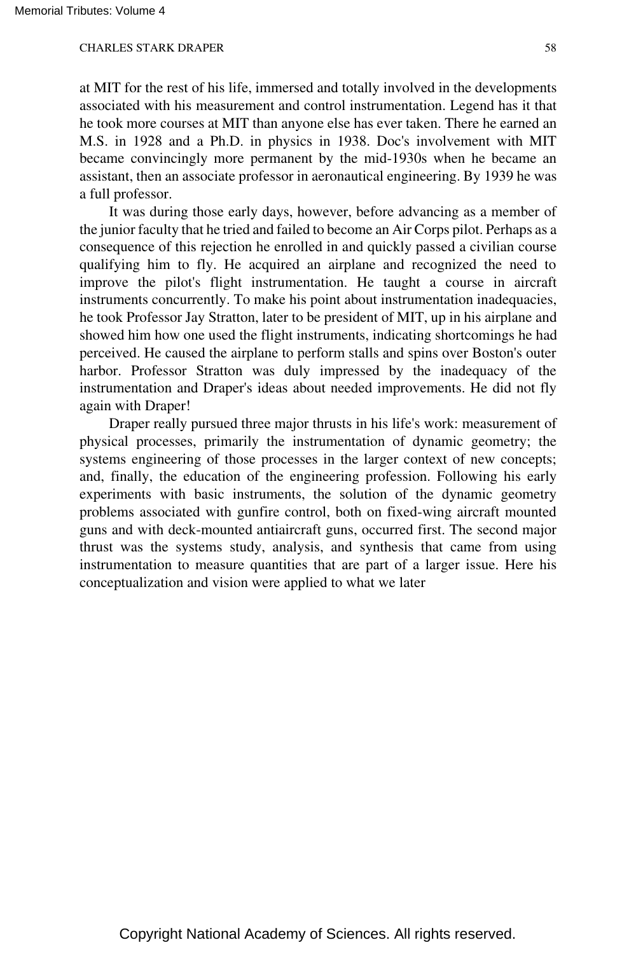at MIT for the rest of his life, immersed and totally involved in the developments associated with his measurement and control instrumentation. Legend has it that he took more courses at MIT than anyone else has ever taken. There he earned an M.S. in 1928 and a Ph.D. in physics in 1938. Doc's involvement with MIT became convincingly more permanent by the mid-1930s when he became an assistant, then an associate professor in aeronautical engineering. By 1939 he was a full professor.

It was during those early days, however, before advancing as a member of the junior faculty that he tried and failed to become an Air Corps pilot. Perhaps as a consequence of this rejection he enrolled in and quickly passed a civilian course qualifying him to fly. He acquired an airplane and recognized the need to improve the pilot's flight instrumentation. He taught a course in aircraft instruments concurrently. To make his point about instrumentation inadequacies, he took Professor Jay Stratton, later to be president of MIT, up in his airplane and showed him how one used the flight instruments, indicating shortcomings he had perceived. He caused the airplane to perform stalls and spins over Boston's outer harbor. Professor Stratton was duly impressed by the inadequacy of the instrumentation and Draper's ideas about needed improvements. He did not fly again with Draper!

Draper really pursued three major thrusts in his life's work: measurement of physical processes, primarily the instrumentation of dynamic geometry; the systems engineering of those processes in the larger context of new concepts; and, finally, the education of the engineering profession. Following his early experiments with basic instruments, the solution of the dynamic geometry problems associated with gunfire control, both on fixed-wing aircraft mounted guns and with deck-mounted antiaircraft guns, occurred first. The second major thrust was the systems study, analysis, and synthesis that came from using instrumentation to measure quantities that are part of a larger issue. Here his conceptualization and vision were applied to what we later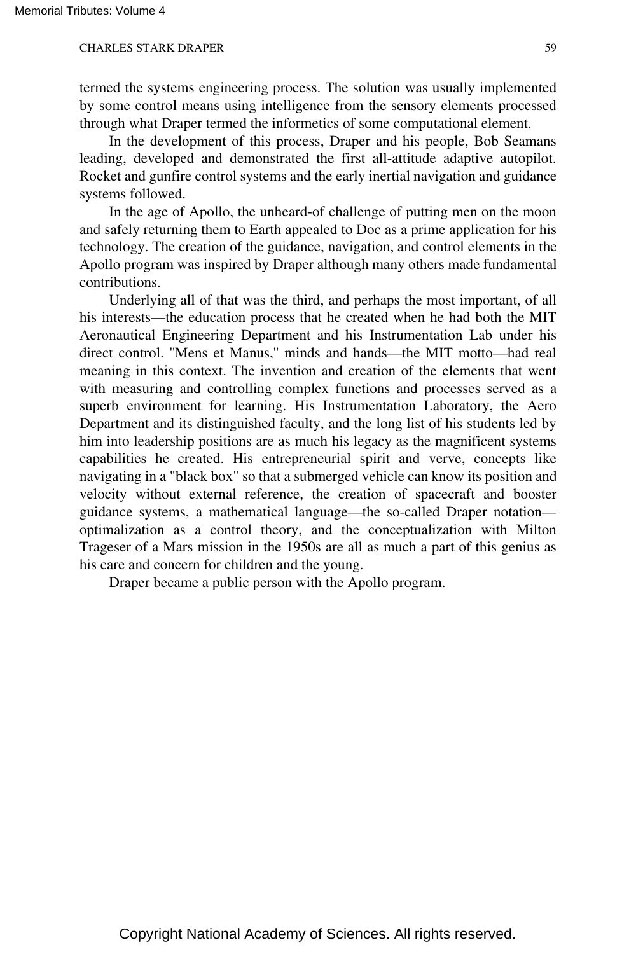termed the systems engineering process. The solution was usually implemented by some control means using intelligence from the sensory elements processed through what Draper termed the informetics of some computational element.

In the development of this process, Draper and his people, Bob Seamans leading, developed and demonstrated the first all-attitude adaptive autopilot. Rocket and gunfire control systems and the early inertial navigation and guidance systems followed.

In the age of Apollo, the unheard-of challenge of putting men on the moon and safely returning them to Earth appealed to Doc as a prime application for his technology. The creation of the guidance, navigation, and control elements in the Apollo program was inspired by Draper although many others made fundamental contributions.

Underlying all of that was the third, and perhaps the most important, of all his interests—the education process that he created when he had both the MIT Aeronautical Engineering Department and his Instrumentation Lab under his direct control. ''Mens et Manus,'' minds and hands—the MIT motto—had real meaning in this context. The invention and creation of the elements that went with measuring and controlling complex functions and processes served as a superb environment for learning. His Instrumentation Laboratory, the Aero Department and its distinguished faculty, and the long list of his students led by him into leadership positions are as much his legacy as the magnificent systems capabilities he created. His entrepreneurial spirit and verve, concepts like navigating in a "black box" so that a submerged vehicle can know its position and velocity without external reference, the creation of spacecraft and booster guidance systems, a mathematical language—the so-called Draper notation optimalization as a control theory, and the conceptualization with Milton Trageser of a Mars mission in the 1950s are all as much a part of this genius as his care and concern for children and the young.

Draper became a public person with the Apollo program.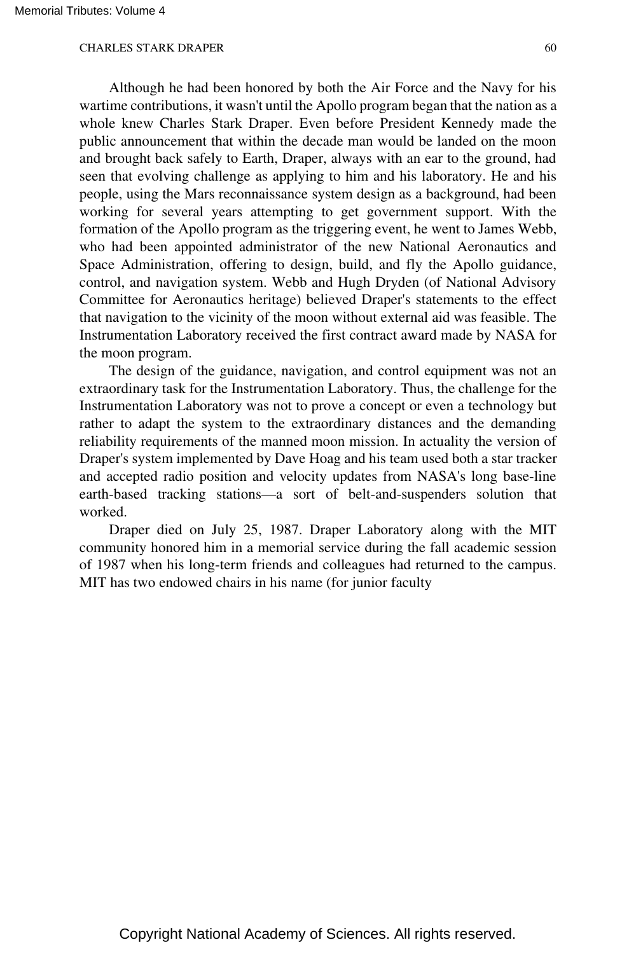Although he had been honored by both the Air Force and the Navy for his wartime contributions, it wasn't until the Apollo program began that the nation as a whole knew Charles Stark Draper. Even before President Kennedy made the public announcement that within the decade man would be landed on the moon and brought back safely to Earth, Draper, always with an ear to the ground, had seen that evolving challenge as applying to him and his laboratory. He and his people, using the Mars reconnaissance system design as a background, had been working for several years attempting to get government support. With the formation of the Apollo program as the triggering event, he went to James Webb, who had been appointed administrator of the new National Aeronautics and Space Administration, offering to design, build, and fly the Apollo guidance, control, and navigation system. Webb and Hugh Dryden (of National Advisory Committee for Aeronautics heritage) believed Draper's statements to the effect that navigation to the vicinity of the moon without external aid was feasible. The Instrumentation Laboratory received the first contract award made by NASA for the moon program.

The design of the guidance, navigation, and control equipment was not an extraordinary task for the Instrumentation Laboratory. Thus, the challenge for the Instrumentation Laboratory was not to prove a concept or even a technology but rather to adapt the system to the extraordinary distances and the demanding reliability requirements of the manned moon mission. In actuality the version of Draper's system implemented by Dave Hoag and his team used both a star tracker and accepted radio position and velocity updates from NASA's long base-line earth-based tracking stations—a sort of belt-and-suspenders solution that worked.

Draper died on July 25, 1987. Draper Laboratory along with the MIT community honored him in a memorial service during the fall academic session of 1987 when his long-term friends and colleagues had returned to the campus. MIT has two endowed chairs in his name (for junior faculty